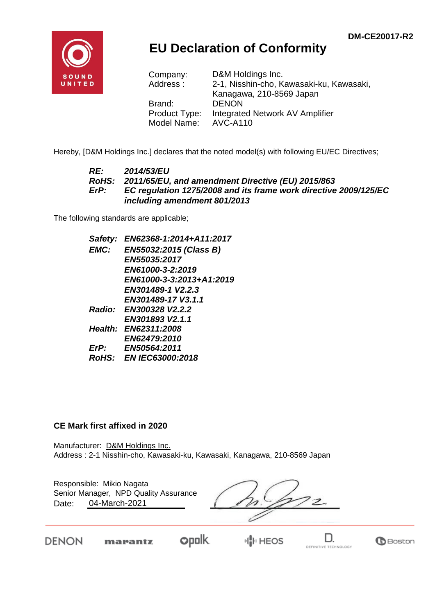

## **EU Declaration of Conformity**

| Company:      | D&M Holdings Inc.                        |
|---------------|------------------------------------------|
| Address:      | 2-1, Nisshin-cho, Kawasaki-ku, Kawasaki, |
|               | Kanagawa, 210-8569 Japan                 |
| Brand:        | <b>DENON</b>                             |
| Product Type: | Integrated Network AV Amplifier          |
| Model Name:   | <b>AVC-A110</b>                          |

Hereby, [D&M Holdings Inc.] declares that the noted model(s) with following EU/EC Directives;

#### *RE: 2014/53/EU RoHS: 2011/65/EU, and amendment Directive (EU) 2015/863 ErP: EC regulation 1275/2008 and its frame work directive 2009/125/EC including amendment 801/2013*

The following standards are applicable;

*Safety: EN62368-1:2014+A11:2017 EMC: EN55032:2015 (Class B) EN55035:2017 EN61000-3-2:2019 EN61000-3-3:2013+A1:2019 EN301489-1 V2.2.3 EN301489-17 V3.1.1 Radio: EN300328 V2.2.2 EN301893 V2.1.1 Health: EN62311:2008 EN62479:2010 ErP: EN50564:2011 RoHS: EN IEC63000:2018*

#### **CE Mark first affixed in 2020**

Manufacturer: D&M Holdings Inc. Address : 2-1 Nisshin-cho, Kawasaki-ku, Kawasaki, Kanagawa, 210-8569 Japan

| Responsible: Mikio Nagata<br>Senior Manager, NPD Quality Assurance<br>04-March-2021<br>Date: |  |  |
|----------------------------------------------------------------------------------------------|--|--|
|                                                                                              |  |  |

DENON

marantz

**Opolk** ⊮∥⊡ HEOS